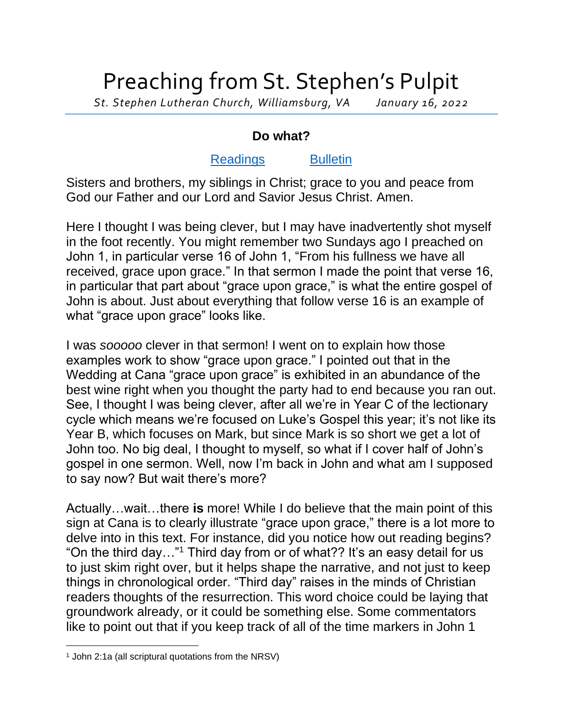## Preaching from St. Stephen's Pulpit

*St. Stephen Lutheran Church, Williamsburg, VA January 16, 2022*

## **Do what?**

## [Readings](https://lectionary.library.vanderbilt.edu/texts.php?id=105) [Bulletin](http://www.saintstephenlutheran.net/sunday-bulletins/)

Sisters and brothers, my siblings in Christ; grace to you and peace from God our Father and our Lord and Savior Jesus Christ. Amen.

Here I thought I was being clever, but I may have inadvertently shot myself in the foot recently. You might remember two Sundays ago I preached on John 1, in particular verse 16 of John 1, "From his fullness we have all received, grace upon grace." In that sermon I made the point that verse 16, in particular that part about "grace upon grace," is what the entire gospel of John is about. Just about everything that follow verse 16 is an example of what "grace upon grace" looks like.

I was *sooooo* clever in that sermon! I went on to explain how those examples work to show "grace upon grace." I pointed out that in the Wedding at Cana "grace upon grace" is exhibited in an abundance of the best wine right when you thought the party had to end because you ran out. See, I thought I was being clever, after all we're in Year C of the lectionary cycle which means we're focused on Luke's Gospel this year; it's not like its Year B, which focuses on Mark, but since Mark is so short we get a lot of John too. No big deal, I thought to myself, so what if I cover half of John's gospel in one sermon. Well, now I'm back in John and what am I supposed to say now? But wait there's more?

Actually…wait…there **is** more! While I do believe that the main point of this sign at Cana is to clearly illustrate "grace upon grace," there is a lot more to delve into in this text. For instance, did you notice how out reading begins? "On the third day…"<sup>1</sup> Third day from or of what?? It's an easy detail for us to just skim right over, but it helps shape the narrative, and not just to keep things in chronological order. "Third day" raises in the minds of Christian readers thoughts of the resurrection. This word choice could be laying that groundwork already, or it could be something else. Some commentators like to point out that if you keep track of all of the time markers in John 1

<sup>1</sup> John 2:1a (all scriptural quotations from the NRSV)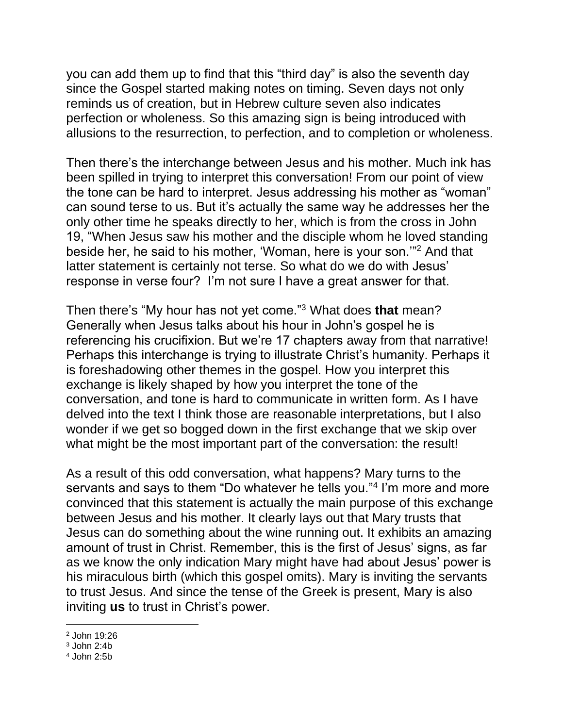you can add them up to find that this "third day" is also the seventh day since the Gospel started making notes on timing. Seven days not only reminds us of creation, but in Hebrew culture seven also indicates perfection or wholeness. So this amazing sign is being introduced with allusions to the resurrection, to perfection, and to completion or wholeness.

Then there's the interchange between Jesus and his mother. Much ink has been spilled in trying to interpret this conversation! From our point of view the tone can be hard to interpret. Jesus addressing his mother as "woman" can sound terse to us. But it's actually the same way he addresses her the only other time he speaks directly to her, which is from the cross in John 19, "When Jesus saw his mother and the disciple whom he loved standing beside her, he said to his mother, 'Woman, here is your son.'" <sup>2</sup> And that latter statement is certainly not terse. So what do we do with Jesus' response in verse four? I'm not sure I have a great answer for that.

Then there's "My hour has not yet come."<sup>3</sup> What does **that** mean? Generally when Jesus talks about his hour in John's gospel he is referencing his crucifixion. But we're 17 chapters away from that narrative! Perhaps this interchange is trying to illustrate Christ's humanity. Perhaps it is foreshadowing other themes in the gospel. How you interpret this exchange is likely shaped by how you interpret the tone of the conversation, and tone is hard to communicate in written form. As I have delved into the text I think those are reasonable interpretations, but I also wonder if we get so bogged down in the first exchange that we skip over what might be the most important part of the conversation: the result!

As a result of this odd conversation, what happens? Mary turns to the servants and says to them "Do whatever he tells you."<sup>4</sup> I'm more and more convinced that this statement is actually the main purpose of this exchange between Jesus and his mother. It clearly lays out that Mary trusts that Jesus can do something about the wine running out. It exhibits an amazing amount of trust in Christ. Remember, this is the first of Jesus' signs, as far as we know the only indication Mary might have had about Jesus' power is his miraculous birth (which this gospel omits). Mary is inviting the servants to trust Jesus. And since the tense of the Greek is present, Mary is also inviting **us** to trust in Christ's power.

<sup>2</sup> John 19:26

 $3$  John  $2:4b$ 

<sup>4</sup> John 2:5b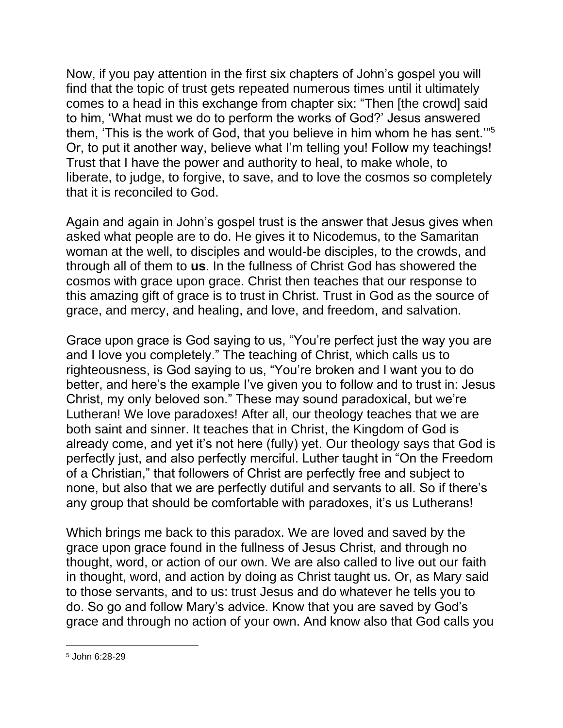Now, if you pay attention in the first six chapters of John's gospel you will find that the topic of trust gets repeated numerous times until it ultimately comes to a head in this exchange from chapter six: "Then [the crowd] said to him, 'What must we do to perform the works of God?' Jesus answered them, 'This is the work of God, that you believe in him whom he has sent.'" 5 Or, to put it another way, believe what I'm telling you! Follow my teachings! Trust that I have the power and authority to heal, to make whole, to liberate, to judge, to forgive, to save, and to love the cosmos so completely that it is reconciled to God.

Again and again in John's gospel trust is the answer that Jesus gives when asked what people are to do. He gives it to Nicodemus, to the Samaritan woman at the well, to disciples and would-be disciples, to the crowds, and through all of them to **us**. In the fullness of Christ God has showered the cosmos with grace upon grace. Christ then teaches that our response to this amazing gift of grace is to trust in Christ. Trust in God as the source of grace, and mercy, and healing, and love, and freedom, and salvation.

Grace upon grace is God saying to us, "You're perfect just the way you are and I love you completely." The teaching of Christ, which calls us to righteousness, is God saying to us, "You're broken and I want you to do better, and here's the example I've given you to follow and to trust in: Jesus Christ, my only beloved son." These may sound paradoxical, but we're Lutheran! We love paradoxes! After all, our theology teaches that we are both saint and sinner. It teaches that in Christ, the Kingdom of God is already come, and yet it's not here (fully) yet. Our theology says that God is perfectly just, and also perfectly merciful. Luther taught in "On the Freedom of a Christian," that followers of Christ are perfectly free and subject to none, but also that we are perfectly dutiful and servants to all. So if there's any group that should be comfortable with paradoxes, it's us Lutherans!

Which brings me back to this paradox. We are loved and saved by the grace upon grace found in the fullness of Jesus Christ, and through no thought, word, or action of our own. We are also called to live out our faith in thought, word, and action by doing as Christ taught us. Or, as Mary said to those servants, and to us: trust Jesus and do whatever he tells you to do. So go and follow Mary's advice. Know that you are saved by God's grace and through no action of your own. And know also that God calls you

<sup>5</sup> John 6:28-29